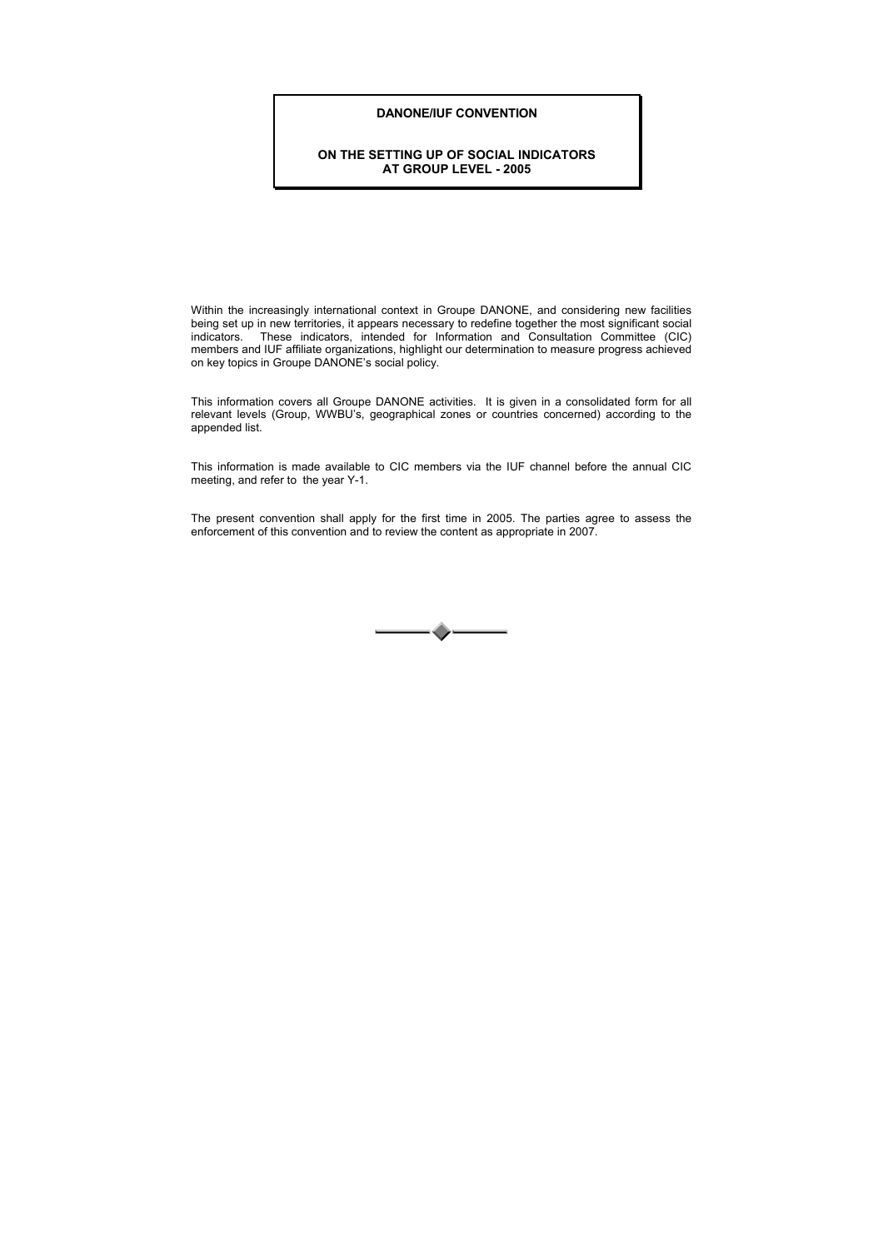## **DANONE/IUF CONVENTION**

## **ON THE SETTING UP OF SOCIAL INDICATORS AT GROUP LEVEL - 2005**

Within the increasingly international context in Groupe DANONE, and considering new facilities being set up in new territories, it appears necessary to redefine together the most significant social indicators. These indicators, intended for Information and Consultation Committee (CIC) members and IUF affiliate organizations, highlight our determination to measure progress achieved on key topics in Groupe DANONE's social policy.

This information covers all Groupe DANONE activities. It is given in a consolidated form for all relevant levels (Group, WWBU's, geographical zones or countries concerned) according to the appended list.

This information is made available to CIC members via the IUF channel before the annual CIC meeting, and refer to the year Y-1.

The present convention shall apply for the first time in 2005. The parties agree to assess the enforcement of this convention and to review the content as appropriate in 2007.